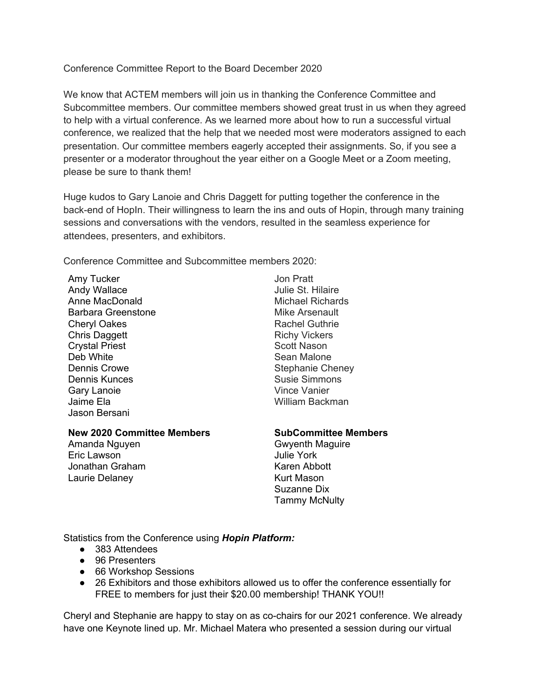Conference Committee Report to the Board December 2020

We know that ACTEM members will join us in thanking the Conference Committee and Subcommittee members. Our committee members showed great trust in us when they agreed to help with a virtual conference. As we learned more about how to run a successful virtual conference, we realized that the help that we needed most were moderators assigned to each presentation. Our committee members eagerly accepted their assignments. So, if you see a presenter or a moderator throughout the year either on a Google Meet or a Zoom meeting, please be sure to thank them!

Huge kudos to Gary Lanoie and Chris Daggett for putting together the conference in the back-end of HopIn. Their willingness to learn the ins and outs of Hopin, through many training sessions and conversations with the vendors, resulted in the seamless experience for attendees, presenters, and exhibitors.

Conference Committee and Subcommittee members 2020:

Amy Tucker Andy Wallace Anne MacDonald Barbara Greenstone Cheryl Oakes Chris Daggett Crystal Priest Deb White Dennis Crowe Dennis Kunces Gary Lanoie Jaime Ela Jason Bersani

## **New 2020 Committee Members**

Amanda Nguyen Eric Lawson Jonathan Graham Laurie Delaney

Jon Pratt Julie St. Hilaire Michael Richards Mike Arsenault Rachel Guthrie Richy Vickers Scott Nason Sean Malone Stephanie Cheney Susie Simmons Vince Vanier William Backman

## **SubCommittee Members**

Gwyenth Maguire Julie York Karen Abbott Kurt Mason Suzanne Dix Tammy McNulty

Statistics from the Conference using *Hopin Platform:*

- 383 Attendees
- 96 Presenters
- 66 Workshop Sessions
- 26 Exhibitors and those exhibitors allowed us to offer the conference essentially for FREE to members for just their \$20.00 membership! THANK YOU!!

Cheryl and Stephanie are happy to stay on as co-chairs for our 2021 conference. We already have one Keynote lined up. Mr. Michael Matera who presented a session during our virtual